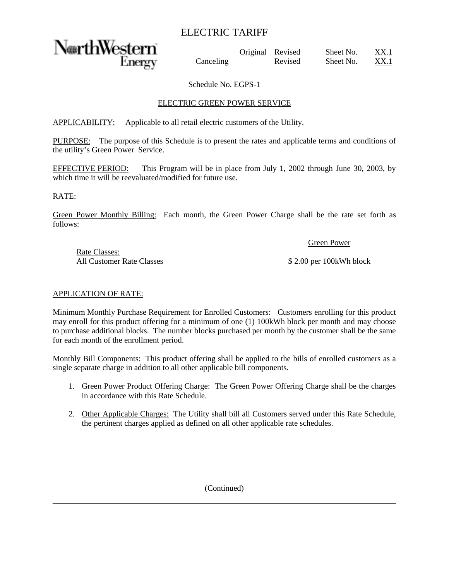# ELECTRIC TARIFF

NorthWestern

Original Revised Sheet No. Canceling Revised Sheet No. XX.1

Schedule No. EGPS-1

## ELECTRIC GREEN POWER SERVICE

APPLICABILITY: Applicable to all retail electric customers of the Utility.

PURPOSE: The purpose of this Schedule is to present the rates and applicable terms and conditions of the utility's Green Power Service.

EFFECTIVE PERIOD: This Program will be in place from July 1, 2002 through June 30, 2003, by which time it will be reevaluated/modified for future use.

#### RATE:

Green Power Monthly Billing: Each month, the Green Power Charge shall be the rate set forth as follows:

Green Power

Rate Classes: All Customer Rate Classes  $$ 2.00$  per 100kWh block

#### APPLICATION OF RATE:

Minimum Monthly Purchase Requirement for Enrolled Customers: Customers enrolling for this product may enroll for this product offering for a minimum of one (1) 100kWh block per month and may choose to purchase additional blocks. The number blocks purchased per month by the customer shall be the same for each month of the enrollment period.

Monthly Bill Components: This product offering shall be applied to the bills of enrolled customers as a single separate charge in addition to all other applicable bill components.

- 1. Green Power Product Offering Charge: The Green Power Offering Charge shall be the charges in accordance with this Rate Schedule.
- 2. Other Applicable Charges: The Utility shall bill all Customers served under this Rate Schedule, the pertinent charges applied as defined on all other applicable rate schedules.

(Continued)